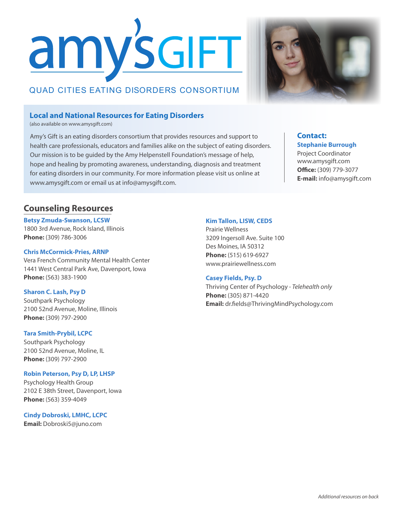# amy's GIFT

# QUAD CITIES EATING DISORDERS CONSORTIUM

### **Local and National Resources for Eating Disorders**

(also available on www.amysgift.com)

Amy's Gift is an eating disorders consortium that provides resources and support to health care professionals, educators and families alike on the subject of eating disorders. Our mission is to be guided by the Amy Helpenstell Foundation's message of help, hope and healing by promoting awareness, understanding, diagnosis and treatment for eating disorders in our community. For more information please visit us online at www.amysgift.com or email us at info@amysgift.com.

#### **Contact: Stephanie Burrough**

Project Coordinator www.amysgift.com **Office:** (309) 779-3077 **E-mail:** info@amysgift.com

## **Counseling Resources**

#### **Betsy Zmuda-Swanson, LCSW**

1800 3rd Avenue, Rock Island, Illinois **Phone:** (309) 786-3006

#### **Chris McCormick-Pries, ARNP**

Vera French Community Mental Health Center 1441 West Central Park Ave, Davenport, Iowa **Phone:** (563) 383-1900

#### **Sharon C. Lash, Psy D**

Southpark Psychology 2100 52nd Avenue, Moline, Illinois **Phone:** (309) 797-2900

#### **Tara Smith-Prybil, LCPC**

Southpark Psychology 2100 52nd Avenue, Moline, IL **Phone:** (309) 797-2900

#### **Robin Peterson, Psy D, LP, LHSP**

Psychology Health Group 2102 E 38th Street, Davenport, Iowa **Phone:** (563) 359-4049

#### **Cindy Dobroski, LMHC, LCPC**

**Email:** Dobroski5@juno.com

#### **Kim Tallon, LISW, CEDS**

Prairie Wellness 3209 Ingersoll Ave. Suite 100 Des Moines, IA 50312 **Phone:** (515) 619-6927 www.prairiewellness.com

#### **Casey Fields, Psy. D**

Thriving Center of Psychology *- Telehealth only* **Phone:** (305) 871-4420 **Email:** dr.fields@ThrivingMindPsychology.com